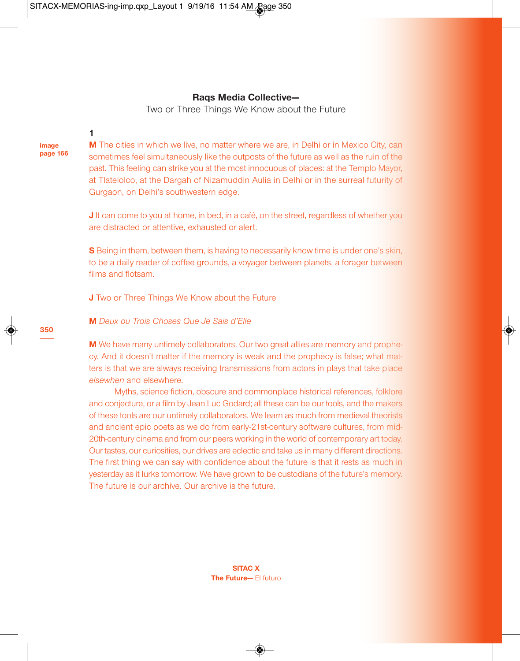SITACX-MEMORIAS-ing-imp.qxp\_Layout 1 9/19/16 11:54 AM Rage 350

## **Raqs Media Collective—**

Two or Three Things We Know about the Future

**1**

**image page 166** **M** The cities in which we live, no matter where we are, in Delhi or in Mexico City, can sometimes feel simultaneously like the outposts of the future as well as the ruin of the past. This feeling can strike you at the most innocuous of places: at the Templo Mayor, at Tlatelolco, at the Dargah of Nizamuddin Aulia in Delhi or in the surreal futurity of Gurgaon, on Delhi's southwestern edge.

**J** It can come to you at home, in bed, in a café, on the street, regardless of whether you are distracted or attentive, exhausted or alert.

**S** Being in them, between them, is having to necessarily know time is under one's skin, to be a daily reader of coffee grounds, a voyager between planets, a forager between films and flotsam.

**J** Two or Three Things We Know about the Future

# **M** *Deux ou Trois Choses Que Je Sais d'Elle*

**M** We have many untimely collaborators. Our two great allies are memory and prophecy. And it doesn't matter if the memory is weak and the prophecy is false; what matters is that we are always receiving transmissions from actors in plays that take place *elsewhen* and elsewhere.

Myths, science fiction, obscure and commonplace historical references, folklore and conjecture, or a film by Jean Luc Godard; all these can be our tools, and the makers of these tools are our untimely collaborators. We learn as much from medieval theorists and ancient epic poets as we do from early-21st-century software cultures, from mid-20th-century cinema and from our peers working in the world of contemporary art today. Our tastes, our curiosities, our drives are eclectic and take us in many different directions. The first thing we can say with confidence about the future is that it rests as much in yesterday as it lurks tomorrow. We have grown to be custodians of the future's memory. The future is our archive. Our archive is the future.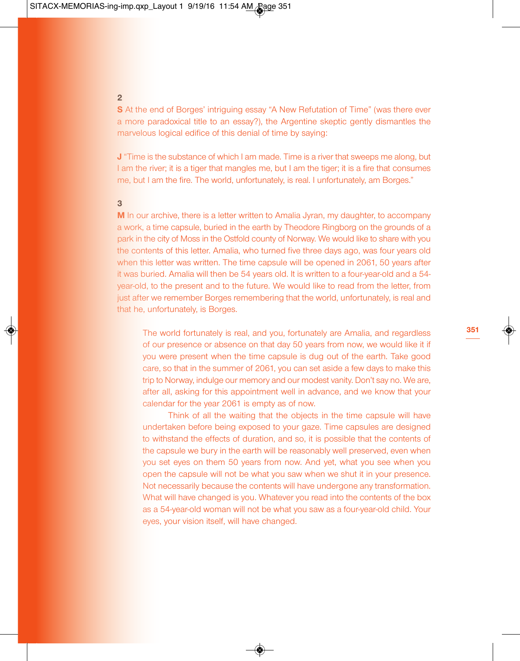**2**

**S** At the end of Borges' intriguing essay "A New Refutation of Time" (was there ever a more paradoxical title to an essay?), the Argentine skeptic gently dismantles the marvelous logical edifice of this denial of time by saying:

**J** "Time is the substance of which I am made. Time is a river that sweeps me along, but I am the river; it is a tiger that mangles me, but I am the tiger; it is a fire that consumes me, but I am the fire. The world, unfortunately, is real. I unfortunately, am Borges."

# **3**

**M** In our archive, there is a letter written to Amalia Jyran, my daughter, to accompany a work, a time capsule, buried in the earth by Theodore Ringborg on the grounds of a park in the city of Moss in the Ostfold county of Norway. We would like to share with you the contents of this letter. Amalia, who turned five three days ago, was four years old when this letter was written. The time capsule will be opened in 2061, 50 years after it was buried. Amalia will then be 54 years old. It is written to a four-year-old and a 54 year-old, to the present and to the future. We would like to read from the letter, from just after we remember Borges remembering that the world, unfortunately, is real and that he, unfortunately, is Borges.

The world fortunately is real, and you, fortunately are Amalia, and regardless of our presence or absence on that day 50 years from now, we would like it if you were present when the time capsule is dug out of the earth. Take good care, so that in the summer of 2061, you can set aside a few days to make this trip to Norway, indulge our memory and our modest vanity. Don't say no. We are, after all, asking for this appointment well in advance, and we know that your calendar for the year 2061 is empty as of now.

Think of all the waiting that the objects in the time capsule will have undertaken before being exposed to your gaze. Time capsules are designed to withstand the effects of duration, and so, it is possible that the contents of the capsule we bury in the earth will be reasonably well preserved, even when you set eyes on them 50 years from now. And yet, what you see when you open the capsule will not be what you saw when we shut it in your presence. Not necessarily because the contents will have undergone any transformation. What will have changed is you. Whatever you read into the contents of the box as a 54-year-old woman will not be what you saw as a four-year-old child. Your eyes, your vision itself, will have changed.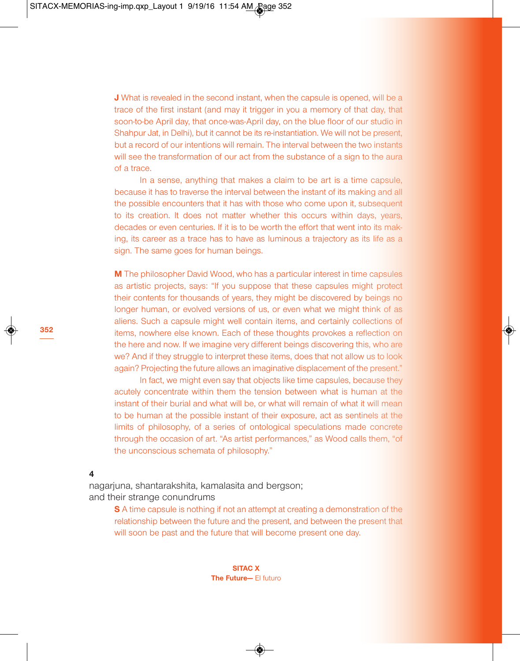**J** What is revealed in the second instant, when the capsule is opened, will be a trace of the first instant (and may it trigger in you a memory of that day, that soon-to-be April day, that once-was-April day, on the blue floor of our studio in Shahpur Jat, in Delhi), but it cannot be its re-instantiation. We will not be present, but a record of our intentions will remain. The interval between the two instants will see the transformation of our act from the substance of a sign to the aura of a trace.

In a sense, anything that makes a claim to be art is a time capsule, because it has to traverse the interval between the instant of its making and all the possible encounters that it has with those who come upon it, subsequent to its creation. It does not matter whether this occurs within days, years, decades or even centuries. If it is to be worth the effort that went into its making, its career as a trace has to have as luminous a trajectory as its life as a sign. The same goes for human beings.

**M** The philosopher David Wood, who has a particular interest in time capsules as artistic projects, says: "If you suppose that these capsules might protect their contents for thousands of years, they might be discovered by beings no longer human, or evolved versions of us, or even what we might think of as aliens. Such a capsule might well contain items, and certainly collections of items, nowhere else known. Each of these thoughts provokes a reflection on the here and now. If we imagine very different beings discovering this, who are we? And if they struggle to interpret these items, does that not allow us to look again? Projecting the future allows an imaginative displacement of the present."

In fact, we might even say that objects like time capsules, because they acutely concentrate within them the tension between what is human at the instant of their burial and what will be, or what will remain of what it will mean to be human at the possible instant of their exposure, act as sentinels at the limits of philosophy, of a series of ontological speculations made concrete through the occasion of art. "As artist performances," as Wood calls them, "of the unconscious schemata of philosophy."

**4**

nagarjuna, shantarakshita, kamalasita and bergson; and their strange conundrums

> **S** A time capsule is nothing if not an attempt at creating a demonstration of the relationship between the future and the present, and between the present that will soon be past and the future that will become present one day.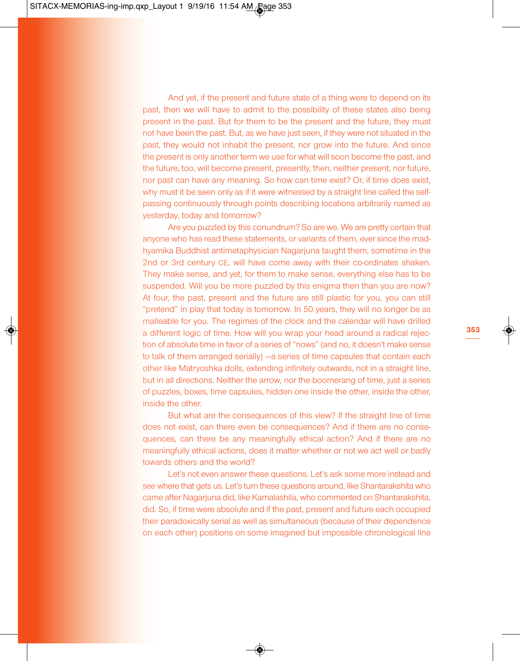And yet, if the present and future state of a thing were to depend on its past, then we will have to admit to the possibility of these states also being present in the past. But for them to be the present and the future, they must not have been the past. But, as we have just seen, if they were not situated in the past, they would not inhabit the present, nor grow into the future. And since the present is only another term we use for what will soon become the past, and the future, too, will become present, presently, then, neither present, nor future, nor past can have any meaning. So how can time exist? Or, if time does exist, why must it be seen only as if it were witnessed by a straight line called the selfpassing continuously through points describing locations arbitrarily named as yesterday, today and tomorrow?

Are you puzzled by this conundrum? So are we. We are pretty certain that anyone who has read these statements, or variants of them, ever since the madhyamika Buddhist antimetaphysician Nagarjuna taught them, sometime in the 2nd or 3rd century CE, will have come away with their co-ordinates shaken. They make sense, and yet, for them to make sense, everything else has to be suspended. Will you be more puzzled by this enigma then than you are now? At four, the past, present and the future are still plastic for you, you can still "pretend" in play that today is tomorrow. In 50 years, they will no longer be as malleable for you. The regimes of the clock and the calendar will have drilled a different logic of time. How will you wrap your head around a radical rejection of absolute time in favor of a series of "nows" (and no, it doesn't make sense to talk of them arranged serially) —a series of time capsules that contain each other like Matryoshka dolls, extending infinitely outwards, not in a straight line, but in all directions. Neither the arrow, nor the boomerang of time, just a series of puzzles, boxes, time capsules, hidden one inside the other, inside the other, inside the other.

But what are the consequences of this view? If the straight line of time does not exist, can there even be consequences? And if there are no consequences, can there be any meaningfully ethical action? And if there are no meaningfully ethical actions, does it matter whether or not we act well or badly towards others and the world?

Let's not even answer these questions. Let's ask some more instead and see where that gets us. Let's turn these questions around, like Shantarakshita who came after Nagarjuna did, like Kamalashila, who commented on Shantarakshita, did. So, if time were absolute and if the past, present and future each occupied their paradoxically serial as well as simultaneous (because of their dependence on each other) positions on some imagined but impossible chronological line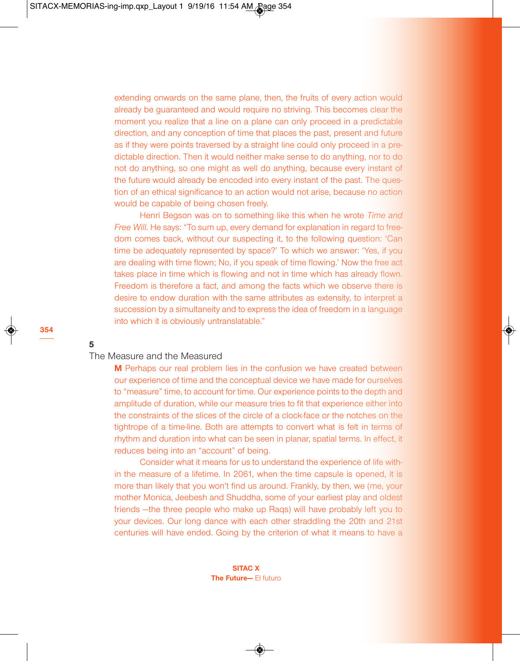extending onwards on the same plane, then, the fruits of every action would already be guaranteed and would require no striving. This becomes clear the moment you realize that a line on a plane can only proceed in a predictable direction, and any conception of time that places the past, present and future as if they were points traversed by a straight line could only proceed in a predictable direction. Then it would neither make sense to do anything, nor to do not do anything, so one might as well do anything, because every instant of the future would already be encoded into every instant of the past. The question of an ethical significance to an action would not arise, because no action would be capable of being chosen freely.

Henri Begson was on to something like this when he wrote *Time and Free Will.* He says: "To sum up, every demand for explanation in regard to freedom comes back, without our suspecting it, to the following question: 'Can time be adequately represented by space?' To which we answer: 'Yes, if you are dealing with time flown; No, if you speak of time flowing.' Now the free act takes place in time which is flowing and not in time which has already flown. Freedom is therefore a fact, and among the facts which we observe there is desire to endow duration with the same attributes as extensity, to interpret a succession by a simultaneity and to express the idea of freedom in a language into which it is obviously untranslatable."

**5**

**354**

## The Measure and the Measured

**M** Perhaps our real problem lies in the confusion we have created between our experience of time and the conceptual device we have made for ourselves to "measure" time, to account for time. Our experience points to the depth and amplitude of duration, while our measure tries to fit that experience either into the constraints of the slices of the circle of a clock-face or the notches on the tightrope of a time-line. Both are attempts to convert what is felt in terms of rhythm and duration into what can be seen in planar, spatial terms. In effect, it reduces being into an "account" of being.

Consider what it means for us to understand the experience of life within the measure of a lifetime. In 2061, when the time capsule is opened, it is more than likely that you won't find us around. Frankly, by then, we (me, your mother Monica, Jeebesh and Shuddha, some of your earliest play and oldest friends —the three people who make up Raqs) will have probably left you to your devices. Our long dance with each other straddling the 20th and 21st centuries will have ended. Going by the criterion of what it means to have a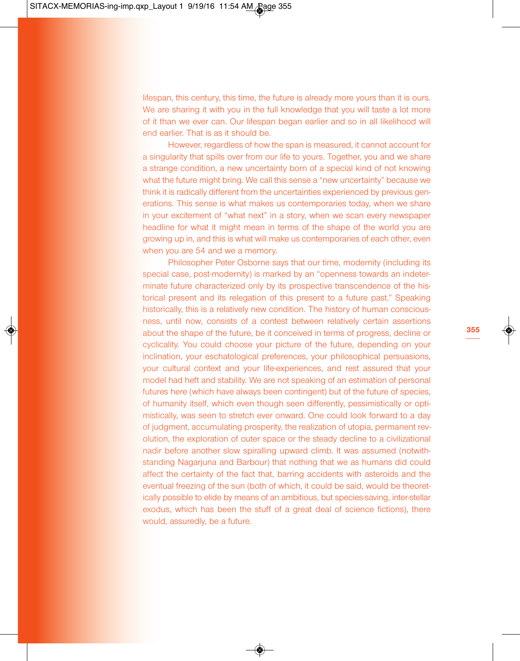lifespan, this century, this time, the future is already more yours than it is ours. We are sharing it with you in the full knowledge that you will taste a lot more of it than we ever can. Our lifespan began earlier and so in all likelihood will end earlier. That is as it should be.

However, regardless of how the span is measured, it cannot account for a singularity that spills over from our life to yours. Together, you and we share a strange condition, a new uncertainty born of a special kind of not knowing what the future might bring. We call this sense a "new uncertainty" because we think it is radically different from the uncertainties experienced by previous generations. This sense is what makes us contemporaries today, when we share in your excitement of "what next" in a story, when we scan every newspaper headline for what it might mean in terms of the shape of the world you are growing up in, and this is what will make us contemporaries of each other, even when you are 54 and we a memory.

Philosopher Peter Osborne says that our time, modernity (including its special case, post-modernity) is marked by an "openness towards an indeterminate future characterized only by its prospective transcendence of the historical present and its relegation of this present to a future past." Speaking historically, this is a relatively new condition. The history of human consciousness, until now, consists of a contest between relatively certain assertions about the shape of the future, be it conceived in terms of progress, decline or cyclicality. You could choose your picture of the future, depending on your inclination, your eschatological preferences, your philosophical persuasions, your cultural context and your life-experiences, and rest assured that your model had heft and stability. We are not speaking of an estimation of personal futures here (which have always been contingent) but of the future of species, of humanity itself, which even though seen differently, pessimistically or optimistically, was seen to stretch ever onward. One could look forward to a day of judgment, accumulating prosperity, the realization of utopia, permanent revolution, the exploration of outer space or the steady decline to a civilizational nadir before another slow spiralling upward climb. It was assumed (notwithstanding Nagarjuna and Barbour) that nothing that we as humans did could affect the certainty of the fact that, barring accidents with asteroids and the eventual freezing of the sun (both of which, it could be said, would be theoretically possible to elide by means of an ambitious, but species-saving, inter-stellar exodus, which has been the stuff of a great deal of science fictions), there would, assuredly, be a future.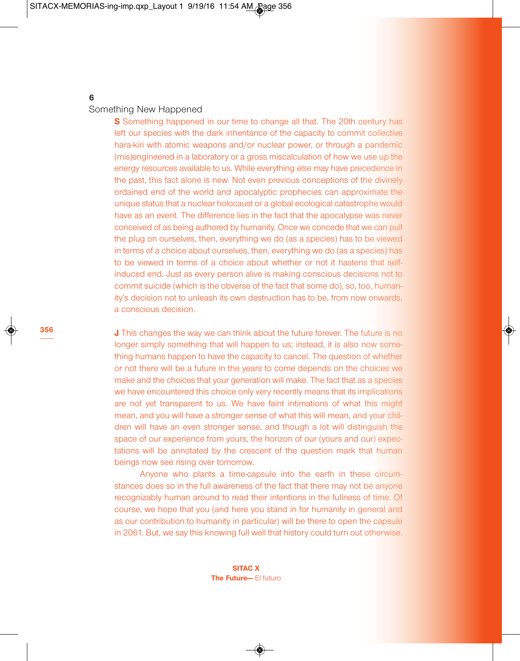# **6**

**356**

## Something New Happened

**S** Something happened in our time to change all that. The 20th century has left our species with the dark inheritance of the capacity to commit collective hara-kiri with atomic weapons and/or nuclear power, or through a pandemic (mis)engineered in a laboratory or a gross miscalculation of how we use up the energy resources available to us. While everything else may have precedence in the past, this fact alone is new. Not even previous conceptions of the divinely ordained end of the world and apocalyptic prophecies can approximate the unique status that a nuclear holocaust or a global ecological catastrophe would have as an event. The difference lies in the fact that the apocalypse was never conceived of as being authored by humanity. Once we concede that we can pull the plug on ourselves, then, everything we do (as a species) has to be viewed in terms of a choice about ourselves, then, everything we do (as a species) has to be viewed in terms of a choice about whether or not it hastens that selfinduced end. Just as every person alive is making conscious decisions not to commit suicide (which is the obverse of the fact that some do), so, too, humanity's decision not to unleash its own destruction has to be, from now onwards, a conscious decision.

**J** This changes the way we can think about the future forever. The future is no longer simply something that will happen to us; instead, it is also now something humans happen to have the capacity to cancel. The question of whether or not there will be a future in the years to come depends on the choices we make and the choices that your generation will make. The fact that as a species we have encountered this choice only very recently means that its implications are not yet transparent to us. We have faint intimations of what this might mean, and you will have a stronger sense of what this will mean, and your children will have an even stronger sense, and though a lot will distinguish the space of our experience from yours, the horizon of our (yours and our) expectations will be annotated by the crescent of the question mark that human beings now see rising over tomorrow.

Anyone who plants a time-capsule into the earth in these circumstances does so in the full awareness of the fact that there may not be anyone recognizably human around to read their intentions in the fullness of time. Of course, we hope that you (and here you stand in for humanity in general and as our contribution to humanity in particular) will be there to open the capsule in 2061. But, we say this knowing full well that history could turn out otherwise.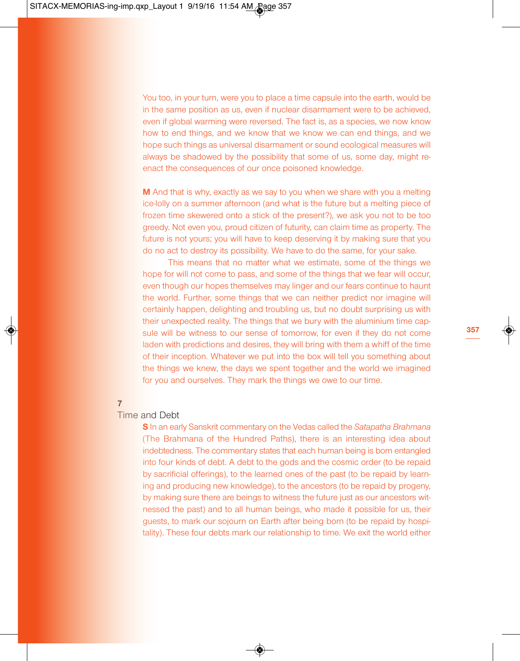You too, in your turn, were you to place a time capsule into the earth, would be in the same position as us, even if nuclear disarmament were to be achieved, even if global warming were reversed. The fact is, as a species, we now know how to end things, and we know that we know we can end things, and we hope such things as universal disarmament or sound ecological measures will always be shadowed by the possibility that some of us, some day, might reenact the consequences of our once poisoned knowledge.

**M** And that is why, exactly as we say to you when we share with you a melting ice-lolly on a summer afternoon (and what is the future but a melting piece of frozen time skewered onto a stick of the present?), we ask you not to be too greedy. Not even you, proud citizen of futurity, can claim time as property. The future is not yours; you will have to keep deserving it by making sure that you do no act to destroy its possibility. We have to do the same, for your sake.

This means that no matter what we estimate, some of the things we hope for will not come to pass, and some of the things that we fear will occur, even though our hopes themselves may linger and our fears continue to haunt the world. Further, some things that we can neither predict nor imagine will certainly happen, delighting and troubling us, but no doubt surprising us with their unexpected reality. The things that we bury with the aluminium time capsule will be witness to our sense of tomorrow, for even if they do not come laden with predictions and desires, they will bring with them a whiff of the time of their inception. Whatever we put into the box will tell you something about the things we knew, the days we spent together and the world we imagined for you and ourselves. They mark the things we owe to our time.

#### **7**

## Time and Debt

**S** In an early Sanskrit commentary on the Vedas called the *Satapatha Brahmana* (The Brahmana of the Hundred Paths), there is an interesting idea about indebtedness. The commentary states that each human being is born entangled into four kinds of debt. A debt to the gods and the cosmic order (to be repaid by sacrificial offerings), to the learned ones of the past (to be repaid by learning and producing new knowledge), to the ancestors (to be repaid by progeny, by making sure there are beings to witness the future just as our ancestors witnessed the past) and to all human beings, who made it possible for us, their guests, to mark our sojourn on Earth after being born (to be repaid by hospitality). These four debts mark our relationship to time. We exit the world either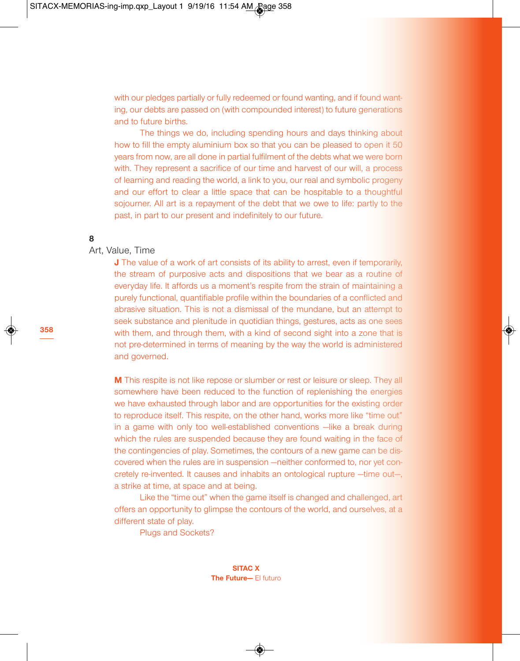with our pledges partially or fully redeemed or found wanting, and if found wanting, our debts are passed on (with compounded interest) to future generations and to future births.

The things we do, including spending hours and days thinking about how to fill the empty aluminium box so that you can be pleased to open it 50 years from now, are all done in partial fulfilment of the debts what we were born with. They represent a sacrifice of our time and harvest of our will, a process of learning and reading the world, a link to you, our real and symbolic progeny and our effort to clear a little space that can be hospitable to a thoughtful sojourner. All art is a repayment of the debt that we owe to life: partly to the past, in part to our present and indefinitely to our future.

## **8**

# Art, Value, Time

**J** The value of a work of art consists of its ability to arrest, even if temporarily, the stream of purposive acts and dispositions that we bear as a routine of everyday life. It affords us a moment's respite from the strain of maintaining a purely functional, quantifiable profile within the boundaries of a conflicted and abrasive situation. This is not a dismissal of the mundane, but an attempt to seek substance and plenitude in quotidian things, gestures, acts as one sees with them, and through them, with a kind of second sight into a zone that is not pre-determined in terms of meaning by the way the world is administered and governed.

**M** This respite is not like repose or slumber or rest or leisure or sleep. They all somewhere have been reduced to the function of replenishing the energies we have exhausted through labor and are opportunities for the existing order to reproduce itself. This respite, on the other hand, works more like "time out" in a game with only too well-established conventions —like a break during which the rules are suspended because they are found waiting in the face of the contingencies of play. Sometimes, the contours of a new game can be discovered when the rules are in suspension —neither conformed to, nor yet concretely re-invented. It causes and inhabits an ontological rupture —time out—, a strike at time, at space and at being.

Like the "time out" when the game itself is changed and challenged, art offers an opportunity to glimpse the contours of the world, and ourselves, at a different state of play.

Plugs and Sockets?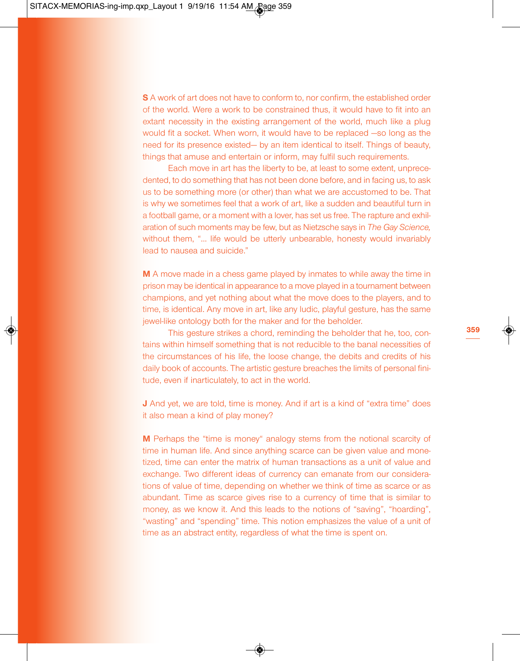**S** A work of art does not have to conform to, nor confirm, the established order of the world. Were a work to be constrained thus, it would have to fit into an extant necessity in the existing arrangement of the world, much like a plug would fit a socket. When worn, it would have to be replaced —so long as the need for its presence existed— by an item identical to itself. Things of beauty, things that amuse and entertain or inform, may fulfil such requirements.

Each move in art has the liberty to be, at least to some extent, unprecedented, to do something that has not been done before, and in facing us, to ask us to be something more (or other) than what we are accustomed to be. That is why we sometimes feel that a work of art, like a sudden and beautiful turn in a football game, or a moment with a lover, has set us free. The rapture and exhilaration of such moments may be few, but as Nietzsche says in *The Gay Science,* without them, "... life would be utterly unbearable, honesty would invariably lead to nausea and suicide."

**M** A move made in a chess game played by inmates to while away the time in prison may be identical in appearance to a move played in a tournament between champions, and yet nothing about what the move does to the players, and to time, is identical. Any move in art, like any ludic, playful gesture, has the same jewel-like ontology both for the maker and for the beholder.

This gesture strikes a chord, reminding the beholder that he, too, contains within himself something that is not reducible to the banal necessities of the circumstances of his life, the loose change, the debits and credits of his daily book of accounts. The artistic gesture breaches the limits of personal finitude, even if inarticulately, to act in the world.

**J** And yet, we are told, time is money. And if art is a kind of "extra time" does it also mean a kind of play money?

**M** Perhaps the "time is money" analogy stems from the notional scarcity of time in human life. And since anything scarce can be given value and monetized, time can enter the matrix of human transactions as a unit of value and exchange. Two different ideas of currency can emanate from our considerations of value of time, depending on whether we think of time as scarce or as abundant. Time as scarce gives rise to a currency of time that is similar to money, as we know it. And this leads to the notions of "saving", "hoarding", "wasting" and "spending" time. This notion emphasizes the value of a unit of time as an abstract entity, regardless of what the time is spent on.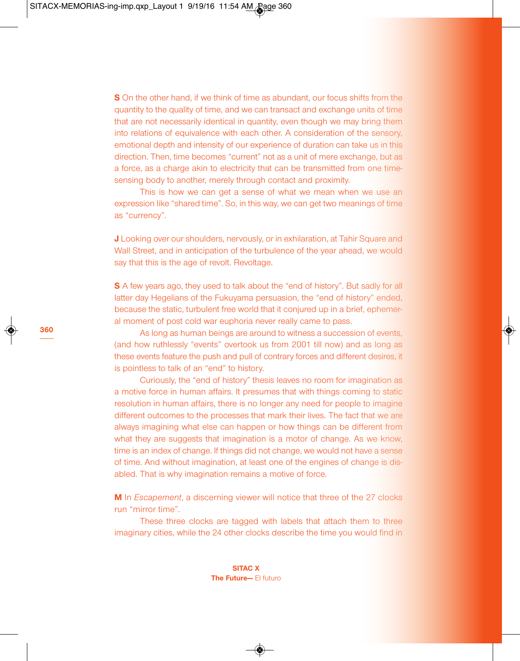**S** On the other hand, if we think of time as abundant, our focus shifts from the quantity to the quality of time, and we can transact and exchange units of time that are not necessarily identical in quantity, even though we may bring them into relations of equivalence with each other. A consideration of the sensory, emotional depth and intensity of our experience of duration can take us in this direction. Then, time becomes "current" not as a unit of mere exchange, but as a force, as a charge akin to electricity that can be transmitted from one timesensing body to another, merely through contact and proximity.

This is how we can get a sense of what we mean when we use an expression like "shared time". So, in this way, we can get two meanings of time as "currency".

**J** Looking over our shoulders, nervously, or in exhilaration, at Tahir Square and Wall Street, and in anticipation of the turbulence of the year ahead, we would say that this is the age of revolt. Revoltage.

**S** A few years ago, they used to talk about the "end of history". But sadly for all latter day Hegelians of the Fukuyama persuasion, the "end of history" ended, because the static, turbulent free world that it conjured up in a brief, ephemeral moment of post cold war euphoria never really came to pass.

As long as human beings are around to witness a succession of events, (and how ruthlessly "events" overtook us from 2001 till now) and as long as these events feature the push and pull of contrary forces and different desires, it is pointless to talk of an "end" to history.

Curiously, the "end of history" thesis leaves no room for imagination as a motive force in human affairs. It presumes that with things coming to static resolution in human affairs, there is no longer any need for people to imagine different outcomes to the processes that mark their lives. The fact that we are always imagining what else can happen or how things can be different from what they are suggests that imagination is a motor of change. As we know, time is an index of change. If things did not change, we would not have a sense of time. And without imagination, at least one of the engines of change is disabled. That is why imagination remains a motive of force.

**M** In *Escapement*, a discerning viewer will notice that three of the 27 clocks run "mirror time".

These three clocks are tagged with labels that attach them to three imaginary cities, while the 24 other clocks describe the time you would find in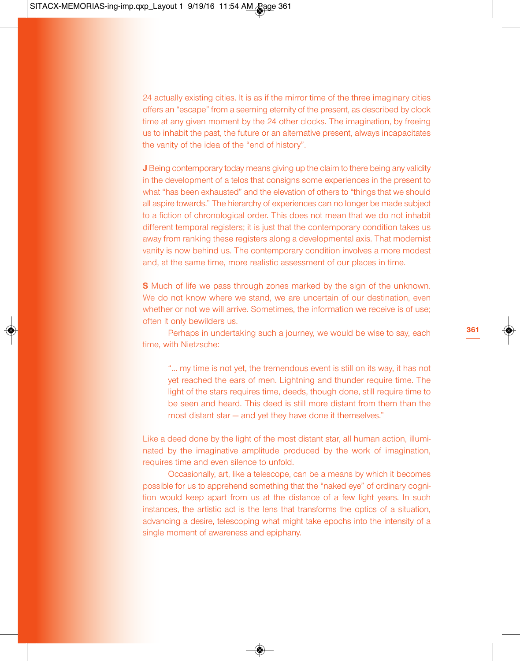24 actually existing cities. It is as if the mirror time of the three imaginary cities offers an "escape" from a seeming eternity of the present, as described by clock time at any given moment by the 24 other clocks. The imagination, by freeing us to inhabit the past, the future or an alternative present, always incapacitates the vanity of the idea of the "end of history".

**J** Being contemporary today means giving up the claim to there being any validity in the development of a telos that consigns some experiences in the present to what "has been exhausted" and the elevation of others to "things that we should all aspire towards." The hierarchy of experiences can no longer be made subject to a fiction of chronological order. This does not mean that we do not inhabit different temporal registers; it is just that the contemporary condition takes us away from ranking these registers along a developmental axis. That modernist vanity is now behind us. The contemporary condition involves a more modest and, at the same time, more realistic assessment of our places in time.

**S** Much of life we pass through zones marked by the sign of the unknown. We do not know where we stand, we are uncertain of our destination, even whether or not we will arrive. Sometimes, the information we receive is of use; often it only bewilders us.

Perhaps in undertaking such a journey, we would be wise to say, each time, with Nietzsche:

"… my time is not yet, the tremendous event is still on its way, it has not yet reached the ears of men. Lightning and thunder require time. The light of the stars requires time, deeds, though done, still require time to be seen and heard. This deed is still more distant from them than the most distant star — and yet they have done it themselves."

Like a deed done by the light of the most distant star, all human action, illuminated by the imaginative amplitude produced by the work of imagination, requires time and even silence to unfold.

Occasionally, art, like a telescope, can be a means by which it becomes possible for us to apprehend something that the "naked eye" of ordinary cognition would keep apart from us at the distance of a few light years. In such instances, the artistic act is the lens that transforms the optics of a situation, advancing a desire, telescoping what might take epochs into the intensity of a single moment of awareness and epiphany.